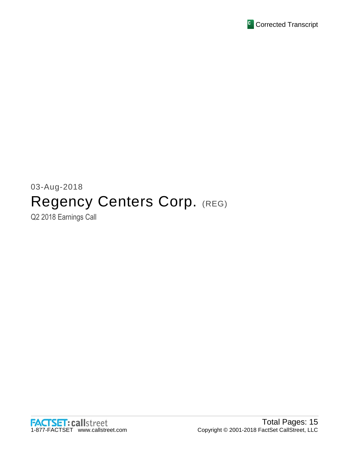

# 03-Aug-2018 Regency Centers Corp. (REG)

Q2 2018 Earnings Call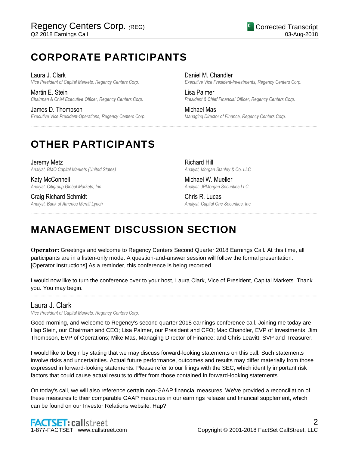# **CORPORATE PARTICIPANTS**

Laura J. Clark *Vice President of Capital Markets, Regency Centers Corp.*

Martin E. Stein *Chairman & Chief Executive Officer, Regency Centers Corp.*

James D. Thompson *Executive Vice President-Operations, Regency Centers Corp.* Daniel M. Chandler *Executive Vice President-Investments, Regency Centers Corp.*

Lisa Palmer *President & Chief Financial Officer, Regency Centers Corp.*

Michael Mas *Managing Director of Finance, Regency Centers Corp.*

# **OTHER PARTICIPANTS**

Jeremy Metz *Analyst, BMO Capital Markets (United States)*

Katy McConnell *Analyst, Citigroup Global Markets, Inc.*

Craig Richard Schmidt *Analyst, Bank of America Merrill Lynch*

Richard Hill *Analyst, Morgan Stanley & Co. LLC*

Michael W. Mueller *Analyst, JPMorgan Securities LLC*

Chris R. Lucas *Analyst, Capital One Securities, Inc.*

# **MANAGEMENT DISCUSSION SECTION**

**Operator**: Greetings and welcome to Regency Centers Second Quarter 2018 Earnings Call. At this time, all participants are in a listen-only mode. A question-and-answer session will follow the formal presentation. [Operator Instructions] As a reminder, this conference is being recorded.

......................................................................................................................................................................................................................................................

......................................................................................................................................................................................................................................................

I would now like to turn the conference over to your host, Laura Clark, Vice of President, Capital Markets. Thank you. You may begin. ......................................................................................................................................................................................................................................................

# Laura J. Clark

*Vice President of Capital Markets, Regency Centers Corp.*

Good morning, and welcome to Regency's second quarter 2018 earnings conference call. Joining me today are Hap Stein, our Chairman and CEO; Lisa Palmer, our President and CFO; Mac Chandler, EVP of Investments; Jim Thompson, EVP of Operations; Mike Mas, Managing Director of Finance; and Chris Leavitt, SVP and Treasurer.

I would like to begin by stating that we may discuss forward-looking statements on this call. Such statements involve risks and uncertainties. Actual future performance, outcomes and results may differ materially from those expressed in forward-looking statements. Please refer to our filings with the SEC, which identify important risk factors that could cause actual results to differ from those contained in forward-looking statements.

On today's call, we will also reference certain non-GAAP financial measures. We've provided a reconciliation of these measures to their comparable GAAP measures in our earnings release and financial supplement, which can be found on our Investor Relations website. Hap?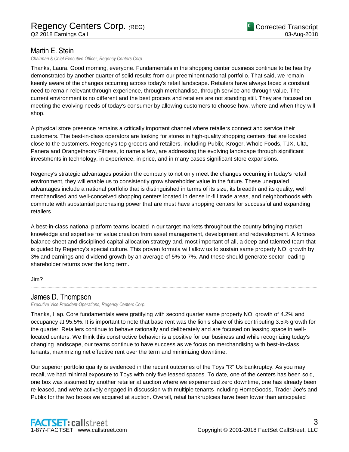# Martin E. Stein

*Chairman & Chief Executive Officer, Regency Centers Corp.*

Thanks, Laura. Good morning, everyone. Fundamentals in the shopping center business continue to be healthy, demonstrated by another quarter of solid results from our preeminent national portfolio. That said, we remain keenly aware of the changes occurring across today's retail landscape. Retailers have always faced a constant need to remain relevant through experience, through merchandise, through service and through value. The current environment is no different and the best grocers and retailers are not standing still. They are focused on meeting the evolving needs of today's consumer by allowing customers to choose how, where and when they will shop.

A physical store presence remains a critically important channel where retailers connect and service their customers. The best-in-class operators are looking for stores in high-quality shopping centers that are located close to the customers. Regency's top grocers and retailers, including Publix, Kroger, Whole Foods, TJX, Ulta, Panera and Orangetheory Fitness, to name a few, are addressing the evolving landscape through significant investments in technology, in experience, in price, and in many cases significant store expansions.

Regency's strategic advantages position the company to not only meet the changes occurring in today's retail environment, they will enable us to consistently grow shareholder value in the future. These unequaled advantages include a national portfolio that is distinguished in terms of its size, its breadth and its quality, well merchandised and well-conceived shopping centers located in dense in-fill trade areas, and neighborhoods with commute with substantial purchasing power that are must have shopping centers for successful and expanding retailers.

A best-in-class national platform teams located in our target markets throughout the country bringing market knowledge and expertise for value creation from asset management, development and redevelopment. A fortress balance sheet and disciplined capital allocation strategy and, most important of all, a deep and talented team that is guided by Regency's special culture. This proven formula will allow us to sustain same property NOI growth by 3% and earnings and dividend growth by an average of 5% to 7%. And these should generate sector-leading shareholder returns over the long term.

......................................................................................................................................................................................................................................................

Jim?

# James D. Thompson

*Executive Vice President-Operations, Regency Centers Corp.*

Thanks, Hap. Core fundamentals were gratifying with second quarter same property NOI growth of 4.2% and occupancy at 95.5%. It is important to note that base rent was the lion's share of this contributing 3.5% growth for the quarter. Retailers continue to behave rationally and deliberately and are focused on leasing space in welllocated centers. We think this constructive behavior is a positive for our business and while recognizing today's changing landscape, our teams continue to have success as we focus on merchandising with best-in-class tenants, maximizing net effective rent over the term and minimizing downtime.

Our superior portfolio quality is evidenced in the recent outcomes of the Toys "R" Us bankruptcy. As you may recall, we had minimal exposure to Toys with only five leased spaces. To date, one of the centers has been sold, one box was assumed by another retailer at auction where we experienced zero downtime, one has already been re-leased, and we're actively engaged in discussion with multiple tenants including HomeGoods, Trader Joe's and Publix for the two boxes we acquired at auction. Overall, retail bankruptcies have been lower than anticipated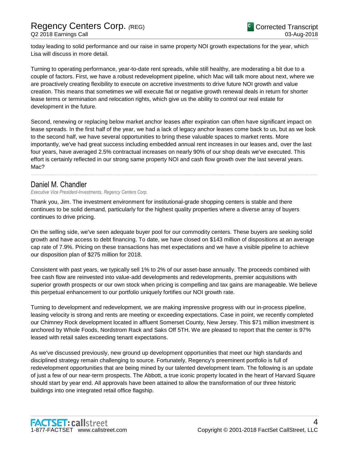today leading to solid performance and our raise in same property NOI growth expectations for the year, which Lisa will discuss in more detail.

Turning to operating performance, year-to-date rent spreads, while still healthy, are moderating a bit due to a couple of factors. First, we have a robust redevelopment pipeline, which Mac will talk more about next, where we are proactively creating flexibility to execute on accretive investments to drive future NOI growth and value creation. This means that sometimes we will execute flat or negative growth renewal deals in return for shorter lease terms or termination and relocation rights, which give us the ability to control our real estate for development in the future.

Second, renewing or replacing below market anchor leases after expiration can often have significant impact on lease spreads. In the first half of the year, we had a lack of legacy anchor leases come back to us, but as we look to the second half, we have several opportunities to bring these valuable spaces to market rents. More importantly, we've had great success including embedded annual rent increases in our leases and, over the last four years, have averaged 2.5% contractual increases on nearly 90% of our shop deals we've executed. This effort is certainly reflected in our strong same property NOI and cash flow growth over the last several years. Mac?

......................................................................................................................................................................................................................................................

# Daniel M. Chandler

*Executive Vice President-Investments, Regency Centers Corp.*

Thank you, Jim. The investment environment for institutional-grade shopping centers is stable and there continues to be solid demand, particularly for the highest quality properties where a diverse array of buyers continues to drive pricing.

On the selling side, we've seen adequate buyer pool for our commodity centers. These buyers are seeking solid growth and have access to debt financing. To date, we have closed on \$143 million of dispositions at an average cap rate of 7.9%. Pricing on these transactions has met expectations and we have a visible pipeline to achieve our disposition plan of \$275 million for 2018.

Consistent with past years, we typically sell 1% to 2% of our asset-base annually. The proceeds combined with free cash flow are reinvested into value-add developments and redevelopments, premier acquisitions with superior growth prospects or our own stock when pricing is compelling and tax gains are manageable. We believe this perpetual enhancement to our portfolio uniquely fortifies our NOI growth rate.

Turning to development and redevelopment, we are making impressive progress with our in-process pipeline, leasing velocity is strong and rents are meeting or exceeding expectations. Case in point, we recently completed our Chimney Rock development located in affluent Somerset County, New Jersey. This \$71 million investment is anchored by Whole Foods, Nordstrom Rack and Saks Off 5TH. We are pleased to report that the center is 97% leased with retail sales exceeding tenant expectations.

As we've discussed previously, new ground up development opportunities that meet our high standards and disciplined strategy remain challenging to source. Fortunately, Regency's preeminent portfolio is full of redevelopment opportunities that are being mined by our talented development team. The following is an update of just a few of our near-term prospects. The Abbott, a true iconic property located in the heart of Harvard Square should start by year end. All approvals have been attained to allow the transformation of our three historic buildings into one integrated retail office flagship.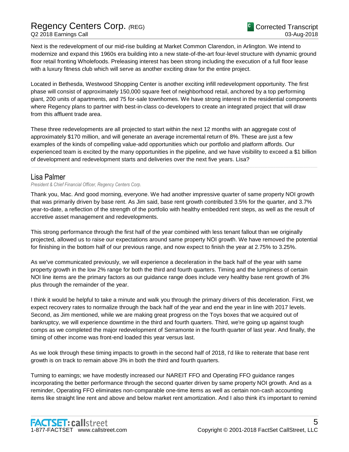Next is the redevelopment of our mid-rise building at Market Common Clarendon, in Arlington. We intend to modernize and expand this 1960s era building into a new state-of-the-art four-level structure with dynamic ground floor retail fronting Wholefoods. Preleasing interest has been strong including the execution of a full floor lease with a luxury fitness club which will serve as another exciting draw for the entire project.

Located in Bethesda, Westwood Shopping Center is another exciting infill redevelopment opportunity. The first phase will consist of approximately 150,000 square feet of neighborhood retail, anchored by a top performing giant, 200 units of apartments, and 75 for-sale townhomes. We have strong interest in the residential components where Regency plans to partner with best-in-class co-developers to create an integrated project that will draw from this affluent trade area.

These three redevelopments are all projected to start within the next 12 months with an aggregate cost of approximately \$170 million, and will generate an average incremental return of 8%. These are just a few examples of the kinds of compelling value-add opportunities which our portfolio and platform affords. Our experienced team is excited by the many opportunities in the pipeline, and we have visibility to exceed a \$1 billion of development and redevelopment starts and deliveries over the next five years. Lisa?

......................................................................................................................................................................................................................................................

# Lisa Palmer

*President & Chief Financial Officer, Regency Centers Corp.*

Thank you, Mac. And good morning, everyone. We had another impressive quarter of same property NOI growth that was primarily driven by base rent. As Jim said, base rent growth contributed 3.5% for the quarter, and 3.7% year-to-date, a reflection of the strength of the portfolio with healthy embedded rent steps, as well as the result of accretive asset management and redevelopments.

This strong performance through the first half of the year combined with less tenant fallout than we originally projected, allowed us to raise our expectations around same property NOI growth. We have removed the potential for finishing in the bottom half of our previous range, and now expect to finish the year at 2.75% to 3.25%.

As we've communicated previously, we will experience a deceleration in the back half of the year with same property growth in the low 2% range for both the third and fourth quarters. Timing and the lumpiness of certain NOI line items are the primary factors as our guidance range does include very healthy base rent growth of 3% plus through the remainder of the year.

I think it would be helpful to take a minute and walk you through the primary drivers of this deceleration. First, we expect recovery rates to normalize through the back half of the year and end the year in line with 2017 levels. Second, as Jim mentioned, while we are making great progress on the Toys boxes that we acquired out of bankruptcy, we will experience downtime in the third and fourth quarters. Third, we're going up against tough comps as we completed the major redevelopment of Serramonte in the fourth quarter of last year. And finally, the timing of other income was front-end loaded this year versus last.

As we look through these timing impacts to growth in the second half of 2018, I'd like to reiterate that base rent growth is on track to remain above 3% in both the third and fourth quarters.

Turning to earnings; we have modestly increased our NAREIT FFO and Operating FFO guidance ranges incorporating the better performance through the second quarter driven by same property NOI growth. And as a reminder, Operating FFO eliminates non-comparable one-time items as well as certain non-cash accounting items like straight line rent and above and below market rent amortization. And I also think it's important to remind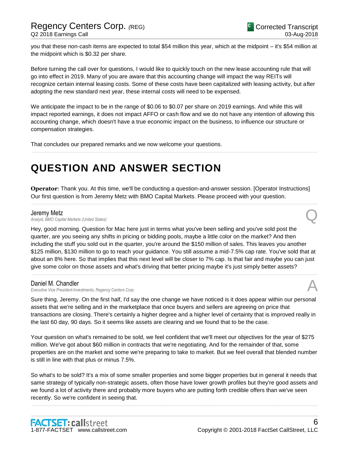you that these non-cash items are expected to total \$54 million this year, which at the midpoint – it's \$54 million at the midpoint which is \$0.32 per share.

Before turning the call over for questions, I would like to quickly touch on the new lease accounting rule that will go into effect in 2019. Many of you are aware that this accounting change will impact the way REITs will recognize certain internal leasing costs. Some of these costs have been capitalized with leasing activity, but after adopting the new standard next year, these internal costs will need to be expensed.

We anticipate the impact to be in the range of \$0.06 to \$0.07 per share on 2019 earnings. And while this will impact reported earnings, it does not impact AFFO or cash flow and we do not have any intention of allowing this accounting change, which doesn't have a true economic impact on the business, to influence our structure or compensation strategies.

......................................................................................................................................................................................................................................................

That concludes our prepared remarks and we now welcome your questions.

# **QUESTION AND ANSWER SECTION**

**Operator**: Thank you. At this time, we'll be conducting a question-and-answer session. [Operator Instructions] Our first question is from Jeremy Metz with BMO Capital Markets. Please proceed with your question.

......................................................................................................................................................................................................................................................

**Jeremy Metz**<br>Analyst, BMO Capital Markets (United States) *Analyst, BMO Capital Markets (United States)* Q

Hey, good morning. Question for Mac here just in terms what you've been selling and you've sold post the quarter, are you seeing any shifts in pricing or bidding pools, maybe a little color on the market? And then including the stuff you sold out in the quarter, you're around the \$150 million of sales. This leaves you another \$125 million, \$130 million to go to reach your guidance. You still assume a mid-7.5% cap rate. You've sold that at about an 8% here. So that implies that this next level will be closer to 7% cap. Is that fair and maybe you can just give some color on those assets and what's driving that better pricing maybe it's just simply better assets?

......................................................................................................................................................................................................................................................

## Daniel M. Chandler

*Executive Vice President-Investments, Regency Centers Corp.* A

Sure thing, Jeremy. On the first half, I'd say the one change we have noticed is it does appear within our personal assets that we're selling and in the marketplace that once buyers and sellers are agreeing on price that transactions are closing. There's certainly a higher degree and a higher level of certainty that is improved really in the last 60 day, 90 days. So it seems like assets are clearing and we found that to be the case.

Your question on what's remained to be sold, we feel confident that we'll meet our objectives for the year of \$275 million. We've got about \$60 million in contracts that we're negotiating. And for the remainder of that, some properties are on the market and some we're preparing to take to market. But we feel overall that blended number is still in line with that plus or minus 7.5%.

So what's to be sold? It's a mix of some smaller properties and some bigger properties but in general it needs that same strategy of typically non-strategic assets, often those have lower growth profiles but they're good assets and we found a lot of activity there and probably more buyers who are putting forth credible offers than we've seen recently. So we're confident in seeing that.

......................................................................................................................................................................................................................................................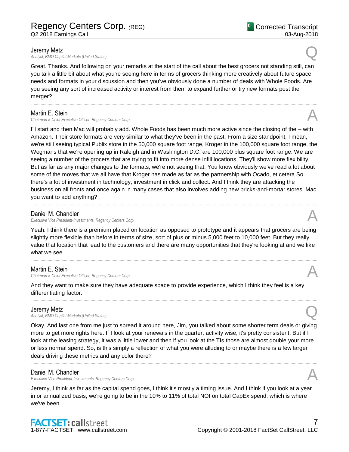**Jeremy Metz**<br>Analyst, BMO Capital Markets (United States) *Analyst, BMO Capital Markets (United States)* Q

Great. Thanks. And following on your remarks at the start of the call about the best grocers not standing still, can you talk a little bit about what you're seeing here in terms of grocers thinking more creatively about future space needs and formats in your discussion and then you've obviously done a number of deals with Whole Foods. Are you seeing any sort of increased activity or interest from them to expand further or try new formats post the merger?

......................................................................................................................................................................................................................................................

# Martin E. Stein

*Chairman & Chief Executive Officer, Regency Centers Corp.* A

I'll start and then Mac will probably add. Whole Foods has been much more active since the closing of the – with Amazon. Their store formats are very similar to what they've been in the past. From a size standpoint, I mean, we're still seeing typical Publix store in the 50,000 square foot range, Kroger in the 100,000 square foot range, the Wegmans that we're opening up in Raleigh and in Washington D.C. are 100,000 plus square foot range. We are seeing a number of the grocers that are trying to fit into more dense infill locations. They'll show more flexibility. But as far as any major changes to the formats, we're not seeing that. You know obviously we've read a lot about some of the moves that we all have that Kroger has made as far as the partnership with Ocado, et cetera So there's a lot of investment in technology, investment in click and collect. And I think they are attacking the business on all fronts and once again in many cases that also involves adding new bricks-and-mortar stores. Mac, you want to add anything?

# Daniel M. Chandler

*Executive Vice President-Investments, Regency Centers Corp.* A

Yeah. I think there is a premium placed on location as opposed to prototype and it appears that grocers are being slightly more flexible than before in terms of size, sort of plus or minus 5,000 feet to 10,000 feet. But they really value that location that lead to the customers and there are many opportunities that they're looking at and we like what we see.

......................................................................................................................................................................................................................................................

# Martin E. Stein

*Chairman & Chief Executive Officer, Regency Centers Corp.* A

And they want to make sure they have adequate space to provide experience, which I think they feel is a key differentiating factor.

......................................................................................................................................................................................................................................................

# Jeremy Metz

*Analyst, BMO Capital Markets (United States)* Q

Okay. And last one from me just to spread it around here, Jim, you talked about some shorter term deals or giving more to get more rights here. If I look at your renewals in the quarter, activity wise, it's pretty consistent. But if I look at the leasing strategy, it was a little lower and then if you look at the TIs those are almost double your more or less normal spend. So, is this simply a reflection of what you were alluding to or maybe there is a few larger deals driving these metrics and any color there?

......................................................................................................................................................................................................................................................

# Daniel M. Chandler

*Executive Vice President-Investments, Regency Centers Corp.* A

Jeremy, I think as far as the capital spend goes, I think it's mostly a timing issue. And I think if you look at a year in or annualized basis, we're going to be in the 10% to 11% of total NOI on total CapEx spend, which is where we've been.



03-Aug-2018

Corrected Transcript







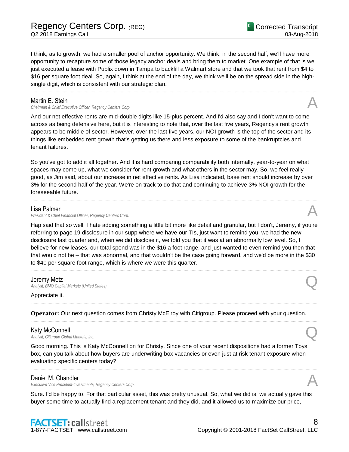I think, as to growth, we had a smaller pool of anchor opportunity. We think, in the second half, we'll have more opportunity to recapture some of those legacy anchor deals and bring them to market. One example of that is we just executed a lease with Publix down in Tampa to backfill a Walmart store and that we took that rent from \$4 to \$16 per square foot deal. So, again, I think at the end of the day, we think we'll be on the spread side in the highsingle digit, which is consistent with our strategic plan.

......................................................................................................................................................................................................................................................

# Martin E. Stein

*Chairman & Chief Executive Officer, Regency Centers Corp.* A

And our net effective rents are mid-double digits like 15-plus percent. And I'd also say and I don't want to come across as being defensive here, but it is interesting to note that, over the last five years, Regency's rent growth appears to be middle of sector. However, over the last five years, our NOI growth is the top of the sector and its things like embedded rent growth that's getting us there and less exposure to some of the bankruptcies and tenant failures.

So you've got to add it all together. And it is hard comparing comparability both internally, year-to-year on what spaces may come up, what we consider for rent growth and what others in the sector may. So, we feel really good, as Jim said, about our increase in net effective rents. As Lisa indicated, base rent should increase by over 3% for the second half of the year. We're on track to do that and continuing to achieve 3% NOI growth for the foreseeable future.

......................................................................................................................................................................................................................................................

### Lisa Palmer

**President & Chief Financial Officer, Regency Centers Corp.** 

Hap said that so well. I hate adding something a little bit more like detail and granular, but I don't, Jeremy, if you're referring to page 19 disclosure in our supp where we have our TIs, just want to remind you, we had the new disclosure last quarter and, when we did disclose it, we told you that it was at an abnormally low level. So, I believe for new leases, our total spend was in the \$16 a foot range, and just wanted to even remind you then that that would not be – that was abnormal, and that wouldn't be the case going forward, and we'd be more in the \$30 to \$40 per square foot range, which is where we were this quarter.

......................................................................................................................................................................................................................................................

......................................................................................................................................................................................................................................................

......................................................................................................................................................................................................................................................

## Jeremy Metz

*Analyst, BMO Capital Markets (United States)* Q

Appreciate it.

**Operator**: Our next question comes from Christy McElroy with Citigroup. Please proceed with your question.

## Katy McConnell

*Analyst, Citigroup Global Markets, Inc.* Q

Good morning. This is Katy McConnell on for Christy. Since one of your recent dispositions had a former Toys box, can you talk about how buyers are underwriting box vacancies or even just at risk tenant exposure when evaluating specific centers today?

......................................................................................................................................................................................................................................................

## Daniel M. Chandler

*Executive Vice President-Investments, Regency Centers Corp.* A

Sure. I'd be happy to. For that particular asset, this was pretty unusual. So, what we did is, we actually gave this buyer some time to actually find a replacement tenant and they did, and it allowed us to maximize our price,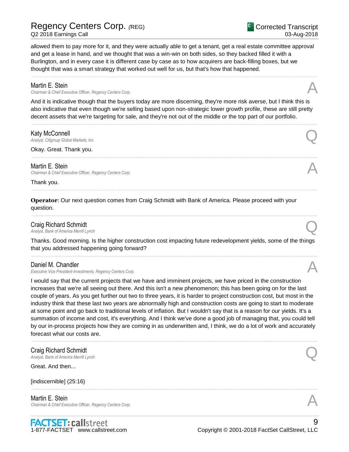# Regency Centers Corp. *(*REG)

Q2 2018 Earnings Call

Corrected Transcript 03-Aug-2018

allowed them to pay more for it, and they were actually able to get a tenant, get a real estate committee approval and get a lease in hand, and we thought that was a win-win on both sides, so they backed filled it with a Burlington, and in every case it is different case by case as to how acquirers are back-filling boxes, but we thought that was a smart strategy that worked out well for us, but that's how that happened.

......................................................................................................................................................................................................................................................

## Martin E. Stein

*Chairman & Chief Executive Officer, Regency Centers Corp.* A

And it is indicative though that the buyers today are more discerning, they're more risk averse, but I think this is also indicative that even though we're selling based upon non-strategic lower growth profile, these are still pretty decent assets that we're targeting for sale, and they're not out of the middle or the top part of our portfolio.

......................................................................................................................................................................................................................................................

......................................................................................................................................................................................................................................................

......................................................................................................................................................................................................................................................

......................................................................................................................................................................................................................................................

# Katy McConnell

*Analyst, Citigroup Global Markets, Inc.* Q

Okay. Great. Thank you.

Martin E. Stein *Chairman & Chief Executive Officer, Regency Centers Corp.* A

Thank you.

**Operator**: Our next question comes from Craig Schmidt with Bank of America. Please proceed with your question.

# Craig Richard Schmidt *Analyst, Bank of America Merrill Lynch* Q

Thanks. Good morning. Is the higher construction cost impacting future redevelopment yields, some of the things that you addressed happening going forward? ......................................................................................................................................................................................................................................................

Daniel M. Chandler

*Executive Vice President-Investments, Regency Centers Corp.* A

I would say that the current projects that we have and imminent projects, we have priced in the construction increases that we're all seeing out there. And this isn't a new phenomenon; this has been going on for the last couple of years. As you get further out two to three years, it is harder to project construction cost, but most in the industry think that these last two years are abnormally high and construction costs are going to start to moderate at some point and go back to traditional levels of inflation. But I wouldn't say that is a reason for our yields. It's a summation of income and cost, it's everything. And I think we've done a good job of managing that, you could tell by our in-process projects how they are coming in as underwritten and, I think, we do a lot of work and accurately forecast what our costs are.

......................................................................................................................................................................................................................................................

......................................................................................................................................................................................................................................................

# **Craig Richard Schmidt**<br>Analyst, Bank of America Merrill Lynch *Analyst, Bank of America Merrill Lynch* Q

Great. And then...

[indiscernible] (25:16)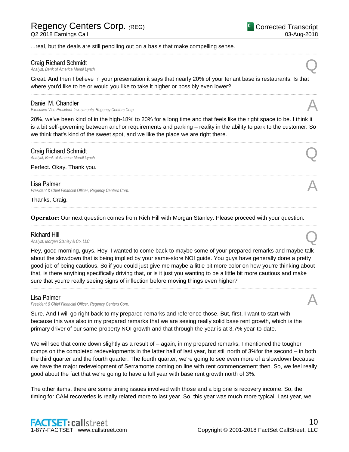...real, but the deals are still penciling out on a basis that make compelling sense.

# Craig Richard Schmidt

*Analyst, Bank of America Merrill Lynch* Q

Great. And then I believe in your presentation it says that nearly 20% of your tenant base is restaurants. Is that where you'd like to be or would you like to take it higher or possibly even lower?

......................................................................................................................................................................................................................................................

......................................................................................................................................................................................................................................................

## Daniel M. Chandler

*Executive Vice President-Investments, Regency Centers Corp.* A

20%, we've been kind of in the high-18% to 20% for a long time and that feels like the right space to be. I think it is a bit self-governing between anchor requirements and parking – reality in the ability to park to the customer. So we think that's kind of the sweet spot, and we like the place we are right there.

......................................................................................................................................................................................................................................................

......................................................................................................................................................................................................................................................

......................................................................................................................................................................................................................................................

......................................................................................................................................................................................................................................................

# Craig Richard Schmidt *Analyst, Bank of America Merrill Lynch* Q

Perfect. Okay. Thank you.

Lisa Palmer *President & Chief Financial Officer, Regency Centers Corp.* A

Thanks, Craig.

**Operator**: Our next question comes from Rich Hill with Morgan Stanley. Please proceed with your question.

**Richard Hill**<br>Analyst, Morgan Stanley & Co. LLC *Analyst, Morgan Stanley & Co. LLC* Q

Hey, good morning, guys. Hey, I wanted to come back to maybe some of your prepared remarks and maybe talk about the slowdown that is being implied by your same-store NOI guide. You guys have generally done a pretty good job of being cautious. So if you could just give me maybe a little bit more color on how you're thinking about that, is there anything specifically driving that, or is it just you wanting to be a little bit more cautious and make sure that you're really seeing signs of inflection before moving things even higher?

......................................................................................................................................................................................................................................................

# Lisa Palmer

**President & Chief Financial Officer, Regency Centers Corp.** 

Sure. And I will go right back to my prepared remarks and reference those. But, first, I want to start with – because this was also in my prepared remarks that we are seeing really solid base rent growth, which is the primary driver of our same-property NOI growth and that through the year is at 3.7% year-to-date.

We will see that come down slightly as a result of – again, in my prepared remarks, I mentioned the tougher comps on the completed redevelopments in the latter half of last year, but still north of 3%for the second – in both the third quarter and the fourth quarter. The fourth quarter, we're going to see even more of a slowdown because we have the major redevelopment of Serramonte coming on line with rent commencement then. So, we feel really good about the fact that we're going to have a full year with base rent growth north of 3%.

The other items, there are some timing issues involved with those and a big one is recovery income. So, the timing for CAM recoveries is really related more to last year. So, this year was much more typical. Last year, we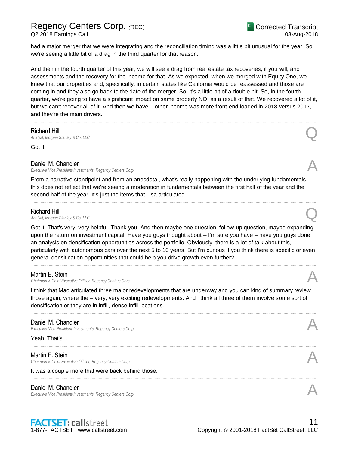had a major merger that we were integrating and the reconciliation timing was a little bit unusual for the year. So, we're seeing a little bit of a drag in the third quarter for that reason.

And then in the fourth quarter of this year, we will see a drag from real estate tax recoveries, if you will, and assessments and the recovery for the income for that. As we expected, when we merged with Equity One, we knew that our properties and, specifically, in certain states like California would be reassessed and those are coming in and they also go back to the date of the merger. So, it's a little bit of a double hit. So, in the fourth quarter, we're going to have a significant impact on same property NOI as a result of that. We recovered a lot of it, but we can't recover all of it. And then we have – other income was more front-end loaded in 2018 versus 2017, and they're the main drivers.

......................................................................................................................................................................................................................................................

......................................................................................................................................................................................................................................................

**Richard Hill**<br>Analyst, Morgan Stanley & Co. LLC *Analyst, Morgan Stanley & Co. LLC* Q

Got it.

# Daniel M. Chandler

*Executive Vice President-Investments, Regency Centers Corp.* A

From a narrative standpoint and from an anecdotal, what's really happening with the underlying fundamentals, this does not reflect that we're seeing a moderation in fundamentals between the first half of the year and the second half of the year. It's just the items that Lisa articulated.

......................................................................................................................................................................................................................................................

# Richard Hill

*Analyst, Morgan Stanley & Co. LLC* Q

Got it. That's very, very helpful. Thank you. And then maybe one question, follow-up question, maybe expanding upon the return on investment capital. Have you guys thought about – I'm sure you have – have you guys done an analysis on densification opportunities across the portfolio. Obviously, there is a lot of talk about this, particularly with autonomous cars over the next 5 to 10 years. But I'm curious if you think there is specific or even general densification opportunities that could help you drive growth even further?

......................................................................................................................................................................................................................................................

## Martin E. Stein

*Chairman & Chief Executive Officer, Regency Centers Corp.* A

I think that Mac articulated three major redevelopments that are underway and you can kind of summary review those again, where the – very, very exciting redevelopments. And I think all three of them involve some sort of densification or they are in infill, dense infill locations.

......................................................................................................................................................................................................................................................

......................................................................................................................................................................................................................................................

......................................................................................................................................................................................................................................................

# Daniel M. Chandler

*Executive Vice President-Investments, Regency Centers Corp.* 

Yeah. That's...

## Martin E. Stein

*Chairman & Chief Executive Officer, Regency Centers Corp.* A

It was a couple more that were back behind those.

# Daniel M. Chandler

*Executive Vice President-Investments, Regency Centers Corp.* A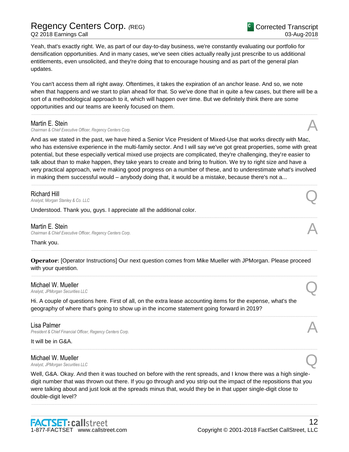Yeah, that's exactly right. We, as part of our day-to-day business, we're constantly evaluating our portfolio for densification opportunities. And in many cases, we've seen cities actually really just prescribe to us additional entitlements, even unsolicited, and they're doing that to encourage housing and as part of the general plan updates.

You can't access them all right away. Oftentimes, it takes the expiration of an anchor lease. And so, we note when that happens and we start to plan ahead for that. So we've done that in quite a few cases, but there will be a sort of a methodological approach to it, which will happen over time. But we definitely think there are some opportunities and our teams are keenly focused on them.

......................................................................................................................................................................................................................................................

## Martin E. Stein

*Chairman & Chief Executive Officer, Regency Centers Corp.* A

And as we stated in the past, we have hired a Senior Vice President of Mixed-Use that works directly with Mac, who has extensive experience in the multi-family sector. And I will say we've got great properties, some with great potential, but these especially vertical mixed use projects are complicated, they're challenging, they're easier to talk about than to make happen, they take years to create and bring to fruition. We try to right size and have a very practical approach, we're making good progress on a number of these, and to underestimate what's involved in making them successful would – anybody doing that, it would be a mistake, because there's not a...

......................................................................................................................................................................................................................................................

......................................................................................................................................................................................................................................................

**Richard Hill**<br>Analyst, Morgan Stanley & Co. LLC *Analyst, Morgan Stanley & Co. LLC* Q

Understood. Thank you, guys. I appreciate all the additional color.

## Martin E. Stein

*Chairman & Chief Executive Officer, Regency Centers Corp.* A

Thank you.

**Operator**: [Operator Instructions] Our next question comes from Mike Mueller with JPMorgan. Please proceed with your question.

......................................................................................................................................................................................................................................................

......................................................................................................................................................................................................................................................

......................................................................................................................................................................................................................................................

......................................................................................................................................................................................................................................................

## Michael W. Mueller

*Analyst, JPMorgan Securities LLC* Q

Hi. A couple of questions here. First of all, on the extra lease accounting items for the expense, what's the geography of where that's going to show up in the income statement going forward in 2019?

## Lisa Palmer

**President & Chief Financial Officer, Regency Centers Corp.** 

### It will be in G&A.

Michael W. Mueller *Analyst, JPMorgan Securities LLC* Q

Well, G&A. Okay. And then it was touched on before with the rent spreads, and I know there was a high singledigit number that was thrown out there. If you go through and you strip out the impact of the repositions that you were talking about and just look at the spreads minus that, would they be in that upper single-digit close to double-digit level?

......................................................................................................................................................................................................................................................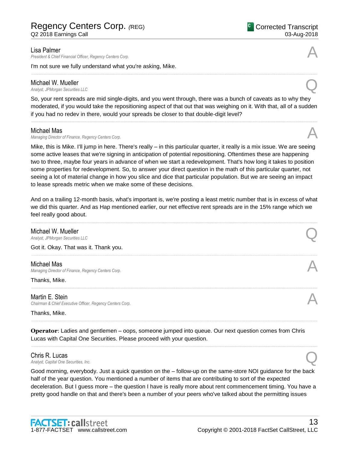## Lisa Palmer

**President & Chief Financial Officer, Regency Centers Corp.** 

I'm not sure we fully understand what you're asking, Mike.

# Michael W. Mueller

*Analyst, JPMorgan Securities LLC* Q

So, your rent spreads are mid single-digits, and you went through, there was a bunch of caveats as to why they moderated, if you would take the repositioning aspect of that out that was weighing on it. With that, all of a sudden if you had no redev in there, would your spreads be closer to that double-digit level?

......................................................................................................................................................................................................................................................

......................................................................................................................................................................................................................................................

# Michael Mas

*Managing Director of Finance, Regency Centers Corp.* A

Mike, this is Mike. I'll jump in here. There's really – in this particular quarter, it really is a mix issue. We are seeing some active leases that we're signing in anticipation of potential repositioning. Oftentimes these are happening two to three, maybe four years in advance of when we start a redevelopment. That's how long it takes to position some properties for redevelopment. So, to answer your direct question in the math of this particular quarter, not seeing a lot of material change in how you slice and dice that particular population. But we are seeing an impact to lease spreads metric when we make some of these decisions.

And on a trailing 12-month basis, what's important is, we're posting a least metric number that is in excess of what we did this quarter. And as Hap mentioned earlier, our net effective rent spreads are in the 15% range which we feel really good about.

......................................................................................................................................................................................................................................................

# **Michael W. Mueller**<br>Analyst, JPMorgan Securities LLC *Analyst, JPMorgan Securities LLC* Q Got it. Okay. That was it. Thank you. ...................................................................................................................................................................................................................................................... Michael Mas **Managing Director of Finance, Regency Centers Corp.** Thanks, Mike. ......................................................................................................................................................................................................................................................

Martin E. Stein *Chairman & Chief Executive Officer, Regency Centers Corp.* A

Thanks, Mike.

**Operator**: Ladies and gentlemen – oops, someone jumped into queue. Our next question comes from Chris Lucas with Capital One Securities. Please proceed with your question.

......................................................................................................................................................................................................................................................

......................................................................................................................................................................................................................................................

Chris R. Lucas *Analyst, Capital One Securities, Inc.* Q

Good morning, everybody. Just a quick question on the – follow-up on the same-store NOI guidance for the back half of the year question. You mentioned a number of items that are contributing to sort of the expected deceleration. But I guess more – the question I have is really more about rent commencement timing. You have a pretty good handle on that and there's been a number of your peers who've talked about the permitting issues

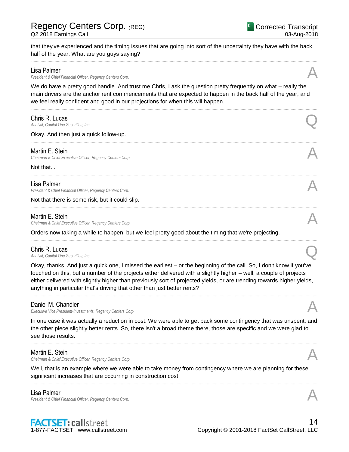half of the year. What are you guys saying?

**President & Chief Financial Officer, Regency Centers Corp.** 

Lisa Palmer

| We do have a pretty good handle. And trust me Chris, I ask the question pretty frequently on what – really the<br>main drivers are the anchor rent commencements that are expected to happen in the back half of the year, and<br>we feel really confident and good in our projections for when this will happen. |  |
|-------------------------------------------------------------------------------------------------------------------------------------------------------------------------------------------------------------------------------------------------------------------------------------------------------------------|--|
| Chris R. Lucas<br>Analyst, Capital One Securities, Inc.                                                                                                                                                                                                                                                           |  |
| Okay. And then just a quick follow-up.                                                                                                                                                                                                                                                                            |  |
| Martin E. Stein<br>Chairman & Chief Executive Officer, Regency Centers Corp.                                                                                                                                                                                                                                      |  |
| Not that                                                                                                                                                                                                                                                                                                          |  |
| Lisa Palmer<br>President & Chief Financial Officer, Regency Centers Corp.                                                                                                                                                                                                                                         |  |
| Not that there is some risk, but it could slip.                                                                                                                                                                                                                                                                   |  |
| Martin E. Stein<br>Chairman & Chief Executive Officer, Regency Centers Corp.                                                                                                                                                                                                                                      |  |
| Orders now taking a while to happen, but we feel pretty good about the timing that we're projecting.                                                                                                                                                                                                              |  |
| Chris R. Lucas<br>Analyst, Capital One Securities, Inc.                                                                                                                                                                                                                                                           |  |
| Okou thooke, And just a quick and I missed the seriest Let the beginning of the sell. Poulded's know if you've                                                                                                                                                                                                    |  |

that they've experienced and the timing issues that are going into sort of the uncertainty they have with the back

......................................................................................................................................................................................................................................................

Okay, thanks. And just a quick one, I missed the earliest – or the beginning of the call. So, I don't know if you've touched on this, but a number of the projects either delivered with a slightly higher – well, a couple of projects either delivered with slightly higher than previously sort of projected yields, or are trending towards higher yields, anything in particular that's driving that other than just better rents? ......................................................................................................................................................................................................................................................

# Daniel M. Chandler

*Executive Vice President-Investments, Regency Centers Corp.* A

In one case it was actually a reduction in cost. We were able to get back some contingency that was unspent, and the other piece slightly better rents. So, there isn't a broad theme there, those are specific and we were glad to see those results.

......................................................................................................................................................................................................................................................

# Martin E. Stein

*Chairman & Chief Executive Officer, Regency Centers Corp.* A

Well, that is an example where we were able to take money from contingency where we are planning for these significant increases that are occurring in construction cost.

......................................................................................................................................................................................................................................................

# Lisa Palmer

**President & Chief Financial Officer, Regency Centers Corp.** 

Corrected Transcript 03-Aug-2018